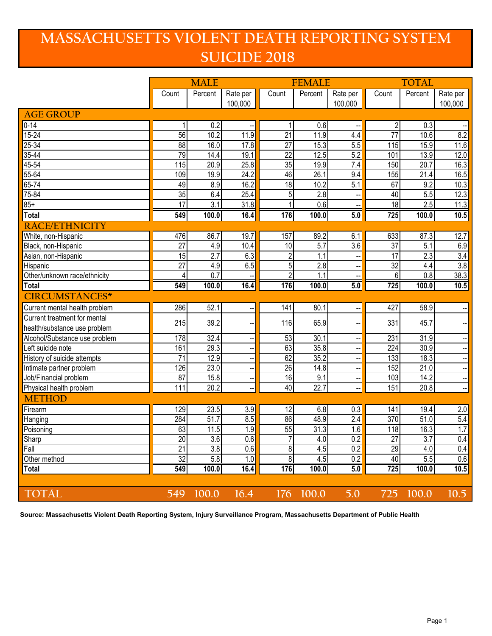## **MASSACHUSETTS VIOLENT DEATH REPORTING SYSTEM SUICIDE 2018**

|                               | <b>MALE</b>     |                  |                          | <b>FEMALE</b>   |                  |                     | <b>TOTAL</b>    |                  |                          |
|-------------------------------|-----------------|------------------|--------------------------|-----------------|------------------|---------------------|-----------------|------------------|--------------------------|
|                               | Count           | Percent          | Rate per<br>100,000      | Count           | Percent          | Rate per<br>100,000 | Count           | Percent          | Rate per<br>100,000      |
| <b>AGE GROUP</b>              |                 |                  |                          |                 |                  |                     |                 |                  |                          |
| $0 - 14$                      | 1               | 0.2              |                          | 1               | 0.6              |                     | $\overline{c}$  | 0.3              |                          |
| $15 - 24$                     | 56              | 10.2             | 11.9                     | $\overline{21}$ | 11.9             | 4.4                 | $\overline{77}$ | 10.6             | 8.2                      |
| $25 - 34$                     | $\overline{88}$ | 16.0             | 17.8                     | $\overline{27}$ | 15.3             | 5.5                 | 115             | 15.9             | 11.6                     |
| $35 - 44$                     | 79              | 14.4             | 19.1                     | $\overline{22}$ | 12.5             | 5.2                 | 101             | 13.9             | 12.0                     |
| $45 - 54$                     | 115             | 20.9             | 25.8                     | 35              | 19.9             | 7.4                 | 150             | 20.7             | 16.3                     |
| 55-64                         | 109             | 19.9             | 24.2                     | 46              | 26.1             | 9.4                 | 155             | 21.4             | 16.5                     |
| $65 - 74$                     | 49              | 8.9              | 16.2                     | 18              | 10.2             | 5.1                 | 67              | 9.2              | 10.3                     |
| 75-84                         | 35              | 6.4              | 25.4                     | $\overline{5}$  | 2.8              |                     | 40              | 5.5              | 12.3                     |
| $85+$                         | $\overline{17}$ | 3.1              | 31.8                     | 1               | 0.6              |                     | $\overline{18}$ | 2.5              | 11.3                     |
| <b>Total</b>                  | 549             | 100.0            | 16.4                     | 176             | 100.0            | 5.0                 | 725             | 100.0            | 10.5                     |
| RACE/ETHNICITY                |                 |                  |                          |                 |                  |                     |                 |                  |                          |
| White, non-Hispanic           | 476             | 86.7             | 19.7                     | 157             | 89.2             | 6.1                 | 633             | 87.3             | 12.7                     |
| Black, non-Hispanic           | $\overline{27}$ | 4.9              | 10.4                     | 10              | $\overline{5.7}$ | 3.6                 | $\overline{37}$ | 5.1              | 6.9                      |
| Asian, non-Hispanic           | $\overline{15}$ | 2.7              | 6.3                      | $\overline{2}$  | 1.1              |                     | $\overline{17}$ | 2.3              | 3.4                      |
| Hispanic                      | $\overline{27}$ | 4.9              | 6.5                      | 5               | 2.8              |                     | $\overline{32}$ | 4.4              | 3.8                      |
| Other/unknown race/ethnicity  | 4               | $\overline{0.7}$ |                          | $\overline{2}$  | 1.1              |                     | 6               | $\overline{0.8}$ | 38.3                     |
| <b>Total</b>                  | 549             | 100.0            | 16.4                     | 176             | 100.0            | 5.0                 | 725             | 100.0            | 10.5                     |
| <b>CIRCUMSTANCES*</b>         |                 |                  |                          |                 |                  |                     |                 |                  |                          |
| Current mental health problem | 286             | 52.1             | --                       | 141             | 80.1             | -−                  | 427             | 58.9             | Ξ.                       |
| Current treatment for mental  | 215             | 39.2             |                          | 116             | 65.9             |                     | 331             | 45.7             |                          |
| health/substance use problem  |                 |                  | --                       |                 |                  | --                  |                 |                  |                          |
| Alcohol/Substance use problem | 178             | 32.4             | --                       | 53              | 30.1             | --                  | 231             | 31.9             |                          |
| Left suicide note             | 161             | 29.3             | ÷                        | 63              | 35.8             |                     | 224             | 30.9             |                          |
| History of suicide attempts   | $\overline{71}$ | 12.9             | --                       | 62              | 35.2             | --                  | 133             | 18.3             | $\overline{\phantom{a}}$ |
| Intimate partner problem      | 126             | 23.0             | $\overline{\phantom{a}}$ | $\overline{26}$ | 14.8             | --                  | 152             | 21.0             | $\overline{\phantom{a}}$ |
| Job/Financial problem         | $\overline{87}$ | 15.8             | $\overline{\phantom{a}}$ | 16              | 9.1              | --                  | 103             | 14.2             | $\overline{\phantom{a}}$ |
| Physical health problem       | 111             | 20.2             |                          | 40              | 22.7             | --                  | 151             | 20.8             | $\overline{\phantom{a}}$ |
| <b>METHOD</b>                 |                 |                  |                          |                 |                  |                     |                 |                  |                          |
| Firearm                       | 129             | 23.5             | 3.9                      | 12              | 6.8              | 0.3                 | 141             | 19.4             | 2.0                      |
| Hanging                       | 284             | 51.7             | 8.5                      | 86              | 48.9             | 2.4                 | 370             | 51.0             | 5.4                      |
| Poisoning                     | 63              | 11.5             | 1.9                      | 55              | 31.3             | $\overline{1.6}$    | 118             | 16.3             | 1.7                      |
| Sharp                         | 20              | 3.6              | 0.6                      | 7               | 4.0              | 0.2                 | 27              | 3.7              | 0.4                      |
| Fall                          | 21              | 3.8              | 0.6                      | 8               | 4.5              | 0.2                 | 29              | 4.0              | 0.4                      |
| Other method                  | 32              | 5.8              | 1.0                      | 8               | 4.5              | 0.2                 | 40              | 5.5              | 0.6                      |
| <b>Total</b>                  | 549             | 100.0            | 16.4                     | 176             | 100.0            | 5.0                 | 725             | 100.0            | 10.5                     |
|                               |                 |                  |                          |                 |                  |                     |                 |                  |                          |
| <b>TOTAL</b>                  | 549             | 100.0            | 16.4                     | 176             | 100.0            | 5.0                 | 725             | 100.0            | $\overline{10.5}$        |

**Source: Massachusetts Violent Death Reporting System, Injury Surveillance Program, Massachusetts Department of Public Health**